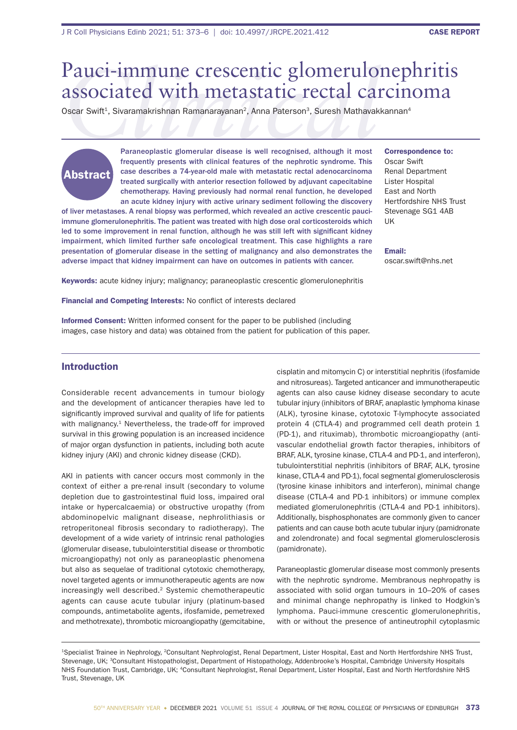# *Clinical* Pauci-immune crescentic glomerulonephritis associated with metastatic rectal carcinoma

Oscar Swift<sup>1</sup>, Sivaramakrishnan Ramanarayanan<sup>2</sup>, Anna Paterson<sup>3</sup>, Suresh Mathavakkannan<sup>4</sup>

# Abstract

Paraneoplastic glomerular disease is well recognised, although it most frequently presents with clinical features of the nephrotic syndrome. This case describes a 74-year-old male with metastatic rectal adenocarcinoma treated surgically with anterior resection followed by adjuvant capecitabine chemotherapy. Having previously had normal renal function, he developed an acute kidney injury with active urinary sediment following the discovery

of liver metastases. A renal biopsy was performed, which revealed an active crescentic pauciimmune glomerulonephritis. The patient was treated with high dose oral corticosteroids which led to some improvement in renal function, although he was still left with significant kidney impairment, which limited further safe oncological treatment. This case highlights a rare presentation of glomerular disease in the setting of malignancy and also demonstrates the adverse impact that kidney impairment can have on outcomes in patients with cancer.

Correspondence to: Oscar Swift Renal Department Lister Hospital East and North Hertfordshire NHS Trust Stevenage SG1 4AB UK

Email: oscar.swift@nhs.net

Keywords: acute kidney injury; malignancy; paraneoplastic crescentic glomerulonephritis

Financial and Competing Interests: No conflict of interests declared

Informed Consent: Written informed consent for the paper to be published (including images, case history and data) was obtained from the patient for publication of this paper.

# Introduction

Considerable recent advancements in tumour biology and the development of anticancer therapies have led to significantly improved survival and quality of life for patients with malignancy.<sup>1</sup> Nevertheless, the trade-off for improved survival in this growing population is an increased incidence of major organ dysfunction in patients, including both acute kidney injury (AKI) and chronic kidney disease (CKD).

AKI in patients with cancer occurs most commonly in the context of either a pre-renal insult (secondary to volume depletion due to gastrointestinal fluid loss, impaired oral intake or hypercalcaemia) or obstructive uropathy (from abdominopelvic malignant disease, nephrolithiasis or retroperitoneal fibrosis secondary to radiotherapy). The development of a wide variety of intrinsic renal pathologies (glomerular disease, tubulointerstitial disease or thrombotic microangiopathy) not only as paraneoplastic phenomena but also as sequelae of traditional cytotoxic chemotherapy, novel targeted agents or immunotherapeutic agents are now increasingly well described.2 Systemic chemotherapeutic agents can cause acute tubular injury (platinum-based compounds, antimetabolite agents, ifosfamide, pemetrexed and methotrexate), thrombotic microangiopathy (gemcitabine,

cisplatin and mitomycin C) or interstitial nephritis (ifosfamide and nitrosureas). Targeted anticancer and immunotherapeutic agents can also cause kidney disease secondary to acute tubular injury (inhibitors of BRAF, anaplastic lymphoma kinase (ALK), tyrosine kinase, cytotoxic T-lymphocyte associated protein 4 (CTLA-4) and programmed cell death protein 1 (PD-1), and rituximab), thrombotic microangiopathy (antivascular endothelial growth factor therapies, inhibitors of BRAF, ALK, tyrosine kinase, CTLA-4 and PD-1, and interferon), tubulointerstitial nephritis (inhibitors of BRAF, ALK, tyrosine kinase, CTLA-4 and PD-1), focal segmental glomerulosclerosis (tyrosine kinase inhibitors and interferon), minimal change disease (CTLA-4 and PD-1 inhibitors) or immune complex mediated glomerulonephritis (CTLA-4 and PD-1 inhibitors). Additionally, bisphosphonates are commonly given to cancer patients and can cause both acute tubular injury (pamidronate and zolendronate) and focal segmental glomerulosclerosis (pamidronate).

Paraneoplastic glomerular disease most commonly presents with the nephrotic syndrome. Membranous nephropathy is associated with solid organ tumours in 10–20% of cases and minimal change nephropathy is linked to Hodgkin's lymphoma. Pauci-immune crescentic glomerulonephritis, with or without the presence of antineutrophil cytoplasmic

1Specialist Trainee in Nephrology, 2Consultant Nephrologist, Renal Department, Lister Hospital, East and North Hertfordshire NHS Trust, Stevenage, UK; <sup>3</sup>Consultant Histopathologist, Department of Histopathology, Addenbrooke's Hospital, Cambridge University Hospitals NHS Foundation Trust, Cambridge, UK; 4Consultant Nephrologist, Renal Department, Lister Hospital, East and North Hertfordshire NHS Trust, Stevenage, UK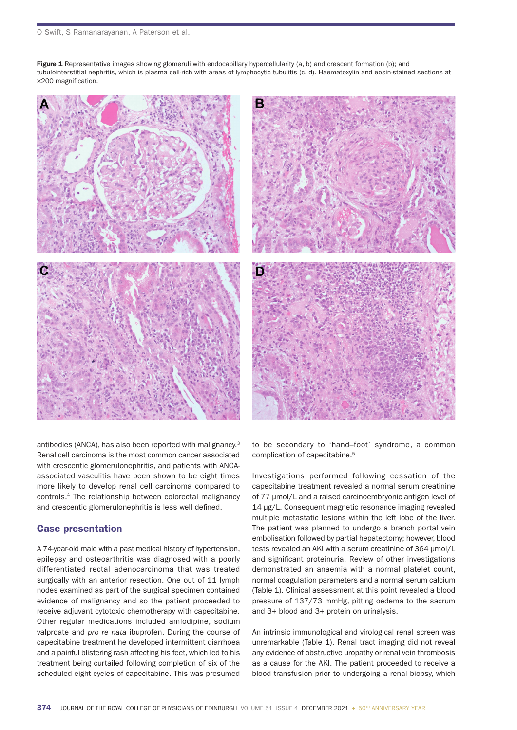Figure 1 Representative images showing glomeruli with endocapillary hypercellularity (a, b) and crescent formation (b); and tubulointerstitial nephritis, which is plasma cell-rich with areas of lymphocytic tubulitis (c, d). Haematoxylin and eosin-stained sections at ×200 magnification.



antibodies (ANCA), has also been reported with malignancy.3 Renal cell carcinoma is the most common cancer associated with crescentic glomerulonephritis, and patients with ANCAassociated vasculitis have been shown to be eight times more likely to develop renal cell carcinoma compared to controls.4 The relationship between colorectal malignancy and crescentic glomerulonephritis is less well defined.

## Case presentation

A 74-year-old male with a past medical history of hypertension, epilepsy and osteoarthritis was diagnosed with a poorly differentiated rectal adenocarcinoma that was treated surgically with an anterior resection. One out of 11 lymph nodes examined as part of the surgical specimen contained evidence of malignancy and so the patient proceeded to receive adjuvant cytotoxic chemotherapy with capecitabine. Other regular medications included amlodipine, sodium valproate and *pro re nata* ibuprofen. During the course of capecitabine treatment he developed intermittent diarrhoea and a painful blistering rash affecting his feet, which led to his treatment being curtailed following completion of six of the scheduled eight cycles of capecitabine. This was presumed

to be secondary to 'hand–foot' syndrome, a common complication of capecitabine.<sup>5</sup>

Investigations performed following cessation of the capecitabine treatment revealed a normal serum creatinine of 77 µmol/L and a raised carcinoembryonic antigen level of 14 µg/L. Consequent magnetic resonance imaging revealed multiple metastatic lesions within the left lobe of the liver. The patient was planned to undergo a branch portal vein embolisation followed by partial hepatectomy; however, blood tests revealed an AKI with a serum creatinine of 364 µmol/L and significant proteinuria. Review of other investigations demonstrated an anaemia with a normal platelet count, normal coagulation parameters and a normal serum calcium (Table 1). Clinical assessment at this point revealed a blood pressure of 137/73 mmHg, pitting oedema to the sacrum and 3+ blood and 3+ protein on urinalysis.

An intrinsic immunological and virological renal screen was unremarkable (Table 1). Renal tract imaging did not reveal any evidence of obstructive uropathy or renal vein thrombosis as a cause for the AKI. The patient proceeded to receive a blood transfusion prior to undergoing a renal biopsy, which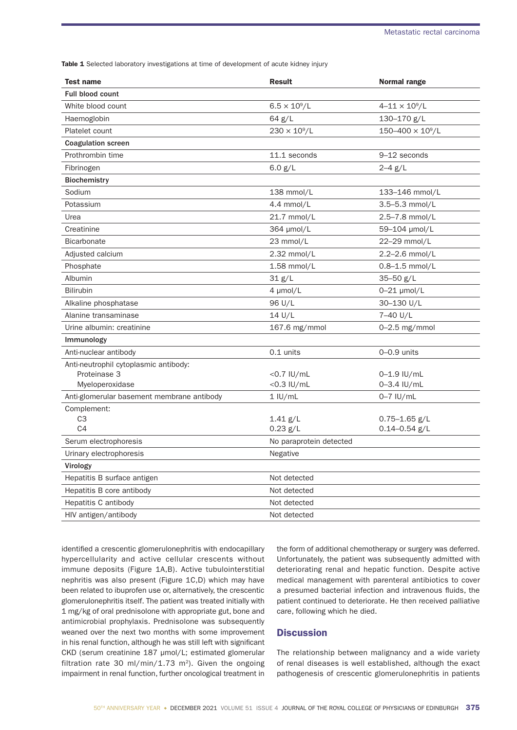Table 1 Selected laboratory investigations at time of development of acute kidney injury

| <b>Test name</b>                           | <b>Result</b>           | Normal range                           |
|--------------------------------------------|-------------------------|----------------------------------------|
| <b>Full blood count</b>                    |                         |                                        |
| White blood count                          | $6.5 \times 10^{9} / L$ | $4 - 11 \times 10^9 / L$               |
| Haemoglobin                                | 64 g/L                  | 130-170 g/L                            |
| Platelet count                             | $230 \times 10^9$ /L    | $150 - 400 \times 10^9 / L$            |
| <b>Coagulation screen</b>                  |                         |                                        |
| Prothrombin time                           | 11.1 seconds            | 9-12 seconds                           |
| Fibrinogen                                 | 6.0 $g/L$               | $2 - 4$ g/L                            |
| <b>Biochemistry</b>                        |                         |                                        |
| Sodium                                     | 138 mmol/L              | 133-146 mmol/L                         |
| Potassium                                  | 4.4 mmol/L              | $3.5 - 5.3$ mmol/L                     |
| Urea                                       | 21.7 mmol/L             | 2.5-7.8 mmol/L                         |
| Creatinine                                 | 364 µmol/L              | 59-104 µmol/L                          |
| <b>Bicarbonate</b>                         | 23 mmol/L               | 22-29 mmol/L                           |
| Adjusted calcium                           | $2.32$ mmol/L           | 2.2-2.6 mmol/L                         |
| Phosphate                                  | $1.58$ mmol/L           | $0.8 - 1.5$ mmol/L                     |
| Albumin                                    | 31 g/L                  | $35 - 50$ g/L                          |
| <b>Bilirubin</b>                           | $4 \mu mol/L$           | $0 - 21$ µmol/L                        |
| Alkaline phosphatase                       | 96 U/L                  | 30-130 U/L                             |
| Alanine transaminase                       | 14 U/L                  | 7-40 U/L                               |
| Urine albumin: creatinine                  | 167.6 mg/mmol           | $0-2.5$ mg/mmol                        |
| Immunology                                 |                         |                                        |
| Anti-nuclear antibody                      | 0.1 units               | $0-0.9$ units                          |
| Anti-neutrophil cytoplasmic antibody:      |                         |                                        |
| Proteinase 3                               | $<$ 0.7 IU/mL           | $0 - 1.9$ IU/mL                        |
| Myeloperoxidase                            | $<$ 0.3 IU/mL           | $0 - 3.4$ IU/mL                        |
| Anti-glomerular basement membrane antibody | $1$ IU/mL               | $0-7$ IU/mL                            |
| Complement:                                |                         |                                        |
| C <sub>3</sub><br>C <sub>4</sub>           | $1.41$ g/L<br>0.23 g/L  | $0.75 - 1.65$ g/L<br>$0.14 - 0.54$ g/L |
|                                            |                         |                                        |
| Serum electrophoresis                      | No paraprotein detected |                                        |
| Urinary electrophoresis                    | Negative                |                                        |
| Virology                                   |                         |                                        |
| Hepatitis B surface antigen                | Not detected            |                                        |
| Hepatitis B core antibody                  | Not detected            |                                        |
| Hepatitis C antibody                       | Not detected            |                                        |
| HIV antigen/antibody                       | Not detected            |                                        |

identified a crescentic glomerulonephritis with endocapillary hypercellularity and active cellular crescents without immune deposits (Figure 1A,B). Active tubulointerstitial nephritis was also present (Figure 1C,D) which may have been related to ibuprofen use or, alternatively, the crescentic glomerulonephritis itself. The patient was treated initially with 1 mg/kg of oral prednisolone with appropriate gut, bone and antimicrobial prophylaxis. Prednisolone was subsequently weaned over the next two months with some improvement in his renal function, although he was still left with significant CKD (serum creatinine 187 µmol/L; estimated glomerular filtration rate 30 ml/min/1.73 m<sup>2</sup>). Given the ongoing impairment in renal function, further oncological treatment in

the form of additional chemotherapy or surgery was deferred. Unfortunately, the patient was subsequently admitted with deteriorating renal and hepatic function. Despite active medical management with parenteral antibiotics to cover a presumed bacterial infection and intravenous fluids, the patient continued to deteriorate. He then received palliative care, following which he died.

### **Discussion**

The relationship between malignancy and a wide variety of renal diseases is well established, although the exact pathogenesis of crescentic glomerulonephritis in patients